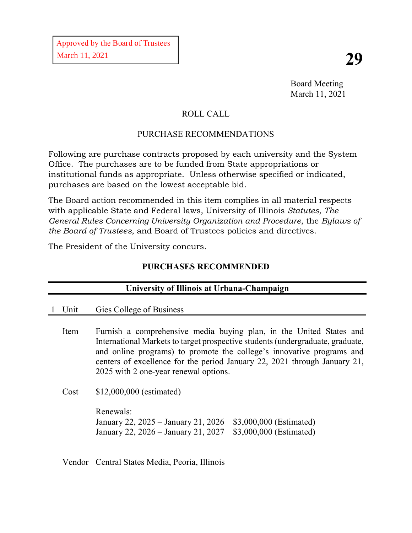Board Meeting March 11, 2021

# ROLL CALL

## PURCHASE RECOMMENDATIONS

Following are purchase contracts proposed by each university and the System Office. The purchases are to be funded from State appropriations or institutional funds as appropriate. Unless otherwise specified or indicated, purchases are based on the lowest acceptable bid.

The Board action recommended in this item complies in all material respects with applicable State and Federal laws, University of Illinois *Statutes, The General Rules Concerning University Organization and Procedure*, the *Bylaws of the Board of Trustees*, and Board of Trustees policies and directives.

The President of the University concurs.

### **PURCHASES RECOMMENDED**

| University of Illinois at Urbana-Champaign |                                                                                                                                                                                                                                                                                                                                                      |  |  |  |  |  |
|--------------------------------------------|------------------------------------------------------------------------------------------------------------------------------------------------------------------------------------------------------------------------------------------------------------------------------------------------------------------------------------------------------|--|--|--|--|--|
| Unit                                       | Gies College of Business                                                                                                                                                                                                                                                                                                                             |  |  |  |  |  |
| Item                                       | Furnish a comprehensive media buying plan, in the United States and<br>International Markets to target prospective students (undergraduate, graduate,<br>and online programs) to promote the college's innovative programs and<br>centers of excellence for the period January 22, 2021 through January 21,<br>2025 with 2 one-year renewal options. |  |  |  |  |  |
| Cost                                       | $$12,000,000$ (estimated)<br>Renewals:<br>\$3,000,000 (Estimated)<br>January 22, 2025 – January 21, 2026<br>\$3,000,000 (Estimated)<br>January 22, 2026 – January 21, 2027                                                                                                                                                                           |  |  |  |  |  |
|                                            |                                                                                                                                                                                                                                                                                                                                                      |  |  |  |  |  |

Vendor Central States Media, Peoria, Illinois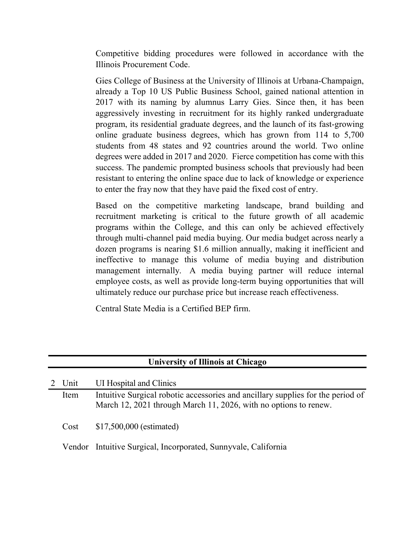Competitive bidding procedures were followed in accordance with the Illinois Procurement Code.

Gies College of Business at the University of Illinois at Urbana-Champaign, already a Top 10 US Public Business School, gained national attention in 2017 with its naming by alumnus Larry Gies. Since then, it has been aggressively investing in recruitment for its highly ranked undergraduate program, its residential graduate degrees, and the launch of its fast-growing online graduate business degrees, which has grown from 114 to 5,700 students from 48 states and 92 countries around the world. Two online degrees were added in 2017 and 2020. Fierce competition has come with this success. The pandemic prompted business schools that previously had been resistant to entering the online space due to lack of knowledge or experience to enter the fray now that they have paid the fixed cost of entry.

Based on the competitive marketing landscape, brand building and recruitment marketing is critical to the future growth of all academic programs within the College, and this can only be achieved effectively through multi-channel paid media buying. Our media budget across nearly a dozen programs is nearing \$1.6 million annually, making it inefficient and ineffective to manage this volume of media buying and distribution management internally. A media buying partner will reduce internal employee costs, as well as provide long-term buying opportunities that will ultimately reduce our purchase price but increase reach effectiveness.

Central State Media is a Certified BEP firm.

| <b>University of Illinois at Chicago</b> |                                                                                                                                                     |  |  |  |  |  |
|------------------------------------------|-----------------------------------------------------------------------------------------------------------------------------------------------------|--|--|--|--|--|
| Unit                                     | UI Hospital and Clinics                                                                                                                             |  |  |  |  |  |
| Item                                     | Intuitive Surgical robotic accessories and ancillary supplies for the period of<br>March 12, 2021 through March 11, 2026, with no options to renew. |  |  |  |  |  |
| Cost                                     | \$17,500,000 (estimated)                                                                                                                            |  |  |  |  |  |
|                                          | Vendor Intuitive Surgical, Incorporated, Sunnyvale, California                                                                                      |  |  |  |  |  |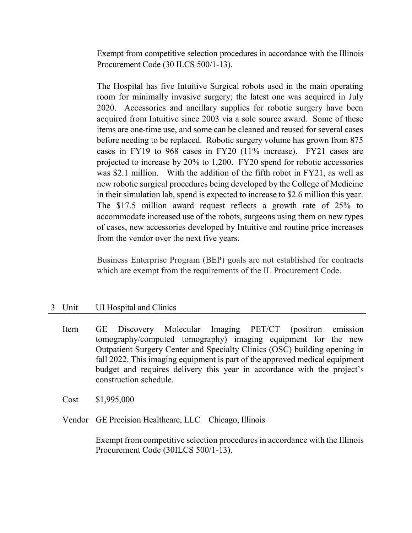Exempt from competitive selection procedures in accordance with the Illinois Procurement Code (30 ILCS 500/1-13).

The Hospital has five Intuitive Surgical robots used in the main operating room for minimally invasive surgery; the latest one was acquired in July 2020. Accessories and ancillary supplies for robotic surgery have been acquired from Intuitive since 2003 via a sole source award. Some of these items are one-time use, and some can be cleaned and reused for several cases before needing to be replaced. Robotic surgery volume has grown from 875 cases in FY19 to 968 cases in FY20 (11% increase). FY21 cases are projected to increase by 20% to 1,200. FY20 spend for robotic accessories was \$2.1 million. With the addition of the fifth robot in FY21, as well as new robotic surgical procedures being developed by the College of Medicine in their simulation lab, spend is expected to increase to \$2.6 million this year. The \$17.5 million award request reflects a growth rate of 25% to accommodate increased use of the robots, surgeons using them on new types of cases, new accessories developed by Intuitive and routine price increases from the vendor over the next five years.

Business Enterprise Program (BEP) goals are not established for contracts which are exempt from the requirements of the IL Procurement Code.

#### 3 Unit UI Hospital and Clinics

Item GE Discovery Molecular Imaging PET/CT (positron emission tomography/computed tomography) imaging equipment for the new Outpatient Surgery Center and Specialty Clinics (OSC) building opening in fall 2022. This imaging equipment is part of the approved medical equipment budget and requires delivery this year in accordance with the project's construction schedule.

Cost \$1,995,000

Vendor GE Precision Healthcare, LLC Chicago, Illinois

Exempt from competitive selection procedures in accordance with the Illinois Procurement Code (30ILCS 500/1-13).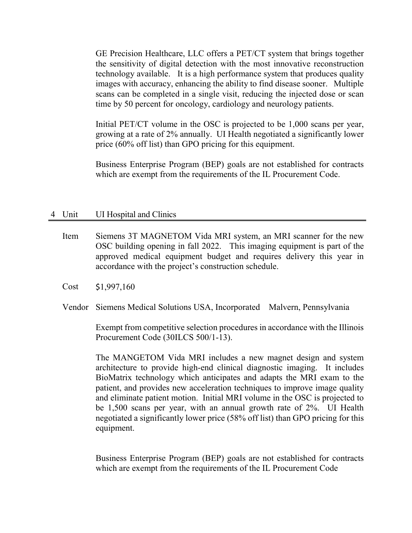GE Precision Healthcare, LLC offers a PET/CT system that brings together the sensitivity of digital detection with the most innovative reconstruction technology available. It is a high performance system that produces quality images with accuracy, enhancing the ability to find disease sooner. Multiple scans can be completed in a single visit, reducing the injected dose or scan time by 50 percent for oncology, cardiology and neurology patients.

Initial PET/CT volume in the OSC is projected to be 1,000 scans per year, growing at a rate of 2% annually. UI Health negotiated a significantly lower price (60% off list) than GPO pricing for this equipment.

Business Enterprise Program (BEP) goals are not established for contracts which are exempt from the requirements of the IL Procurement Code.

#### 4 Unit UI Hospital and Clinics

- Item Siemens 3T MAGNETOM Vida MRI system, an MRI scanner for the new OSC building opening in fall 2022. This imaging equipment is part of the approved medical equipment budget and requires delivery this year in accordance with the project's construction schedule.
- Cost \$1,997,160
- Vendor Siemens Medical Solutions USA, Incorporated Malvern, Pennsylvania

Exempt from competitive selection procedures in accordance with the Illinois Procurement Code (30ILCS 500/1-13).

The MANGETOM Vida MRI includes a new magnet design and system architecture to provide high-end clinical diagnostic imaging. It includes BioMatrix technology which anticipates and adapts the MRI exam to the patient, and provides new acceleration techniques to improve image quality and eliminate patient motion. Initial MRI volume in the OSC is projected to be 1,500 scans per year, with an annual growth rate of 2%. UI Health negotiated a significantly lower price (58% off list) than GPO pricing for this equipment.

Business Enterprise Program (BEP) goals are not established for contracts which are exempt from the requirements of the IL Procurement Code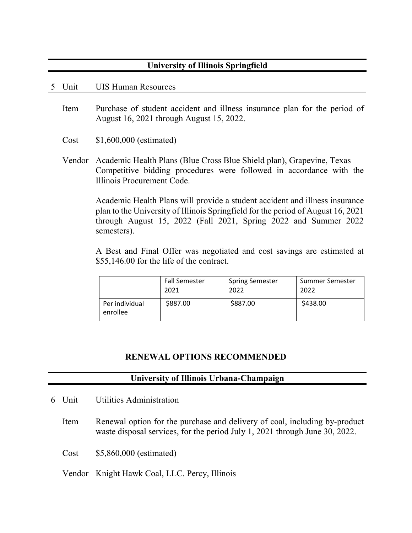#### **University of Illinois Springfield**

#### 5 Unit UIS Human Resources

- Item Purchase of student accident and illness insurance plan for the period of August 16, 2021 through August 15, 2022.
- Cost \$1,600,000 (estimated)
- Vendor Academic Health Plans (Blue Cross Blue Shield plan), Grapevine, Texas Competitive bidding procedures were followed in accordance with the Illinois Procurement Code.

Academic Health Plans will provide a student accident and illness insurance plan to the University of Illinois Springfield for the period of August 16, 2021 through August 15, 2022 (Fall 2021, Spring 2022 and Summer 2022 semesters).

A Best and Final Offer was negotiated and cost savings are estimated at \$55,146.00 for the life of the contract.

|                            | <b>Fall Semester</b> | <b>Spring Semester</b> | Summer Semester |
|----------------------------|----------------------|------------------------|-----------------|
|                            | 2021                 | 2022                   | 2022            |
| Per individual<br>enrollee | \$887.00             | \$887.00               | \$438.00        |

### **RENEWAL OPTIONS RECOMMENDED**

#### **University of Illinois Urbana-Champaign**

|--|

Item Renewal option for the purchase and delivery of coal, including by-product waste disposal services, for the period July 1, 2021 through June 30, 2022.

Cost \$5,860,000 (estimated)

Vendor Knight Hawk Coal, LLC. Percy, Illinois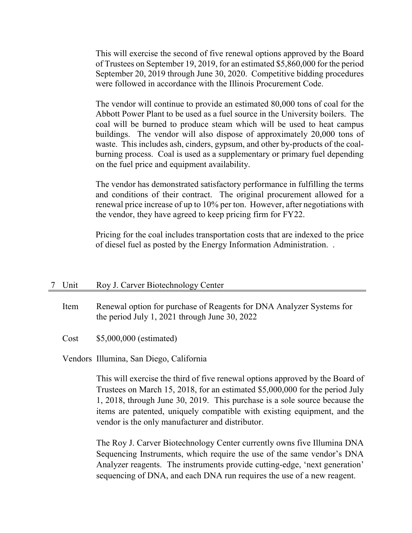This will exercise the second of five renewal options approved by the Board of Trustees on September 19, 2019, for an estimated \$5,860,000 for the period September 20, 2019 through June 30, 2020. Competitive bidding procedures were followed in accordance with the Illinois Procurement Code.

The vendor will continue to provide an estimated 80,000 tons of coal for the Abbott Power Plant to be used as a fuel source in the University boilers. The coal will be burned to produce steam which will be used to heat campus buildings. The vendor will also dispose of approximately 20,000 tons of waste. This includes ash, cinders, gypsum, and other by-products of the coalburning process. Coal is used as a supplementary or primary fuel depending on the fuel price and equipment availability.

The vendor has demonstrated satisfactory performance in fulfilling the terms and conditions of their contract. The original procurement allowed for a renewal price increase of up to 10% per ton. However, after negotiations with the vendor, they have agreed to keep pricing firm for FY22.

Pricing for the coal includes transportation costs that are indexed to the price of diesel fuel as posted by the Energy Information Administration. .

#### 7 Unit Roy J. Carver Biotechnology Center

Item Renewal option for purchase of Reagents for DNA Analyzer Systems for the period July 1, 2021 through June 30, 2022

Cost \$5,000,000 (estimated)

Vendors Illumina, San Diego, California

This will exercise the third of five renewal options approved by the Board of Trustees on March 15, 2018, for an estimated \$5,000,000 for the period July 1, 2018, through June 30, 2019. This purchase is a sole source because the items are patented, uniquely compatible with existing equipment, and the vendor is the only manufacturer and distributor.

The Roy J. Carver Biotechnology Center currently owns five Illumina DNA Sequencing Instruments, which require the use of the same vendor's DNA Analyzer reagents. The instruments provide cutting-edge, 'next generation' sequencing of DNA, and each DNA run requires the use of a new reagent.